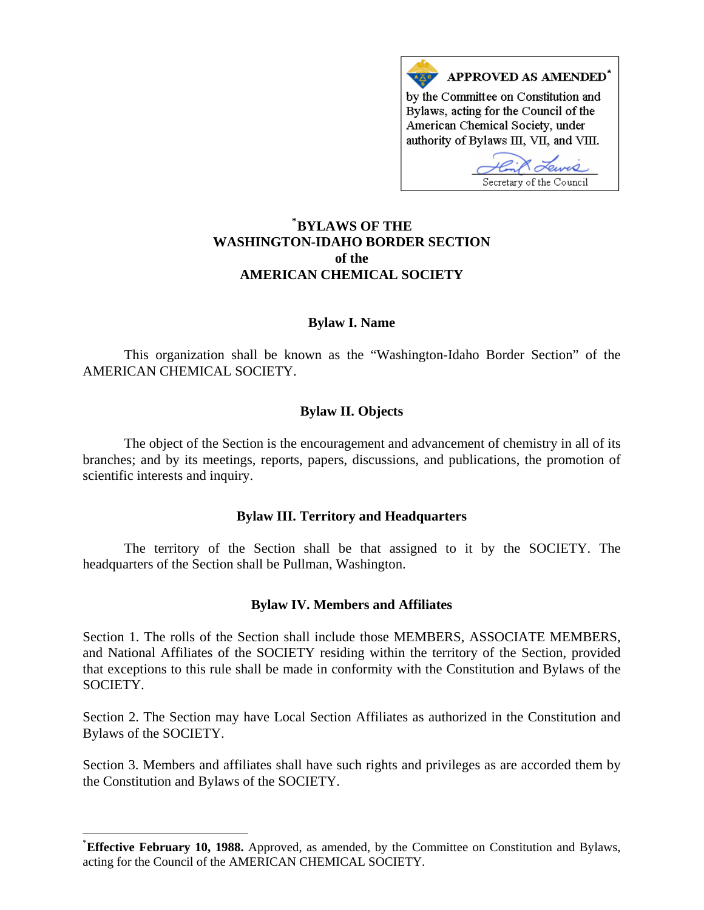

# **\* [BYLAWS OF THE](#page-0-0)  WASHINGTON-IDAHO BORDER SECTION of the AMERICAN CHEMICAL SOCIETY**

## **Bylaw I. Name**

 This organization shall be known as the "Washington-Idaho Border Section" of the AMERICAN CHEMICAL SOCIETY.

## **Bylaw II. Objects**

 The object of the Section is the encouragement and advancement of chemistry in all of its branches; and by its meetings, reports, papers, discussions, and publications, the promotion of scientific interests and inquiry.

### **Bylaw III. Territory and Headquarters**

 The territory of the Section shall be that assigned to it by the SOCIETY. The headquarters of the Section shall be Pullman, Washington.

### **Bylaw IV. Members and Affiliates**

Section 1. The rolls of the Section shall include those MEMBERS, ASSOCIATE MEMBERS, and National Affiliates of the SOCIETY residing within the territory of the Section, provided that exceptions to this rule shall be made in conformity with the Constitution and Bylaws of the SOCIETY.

Section 2. The Section may have Local Section Affiliates as authorized in the Constitution and Bylaws of the SOCIETY.

Section 3. Members and affiliates shall have such rights and privileges as are accorded them by the Constitution and Bylaws of the SOCIETY.

 $\overline{a}$ 

<span id="page-0-0"></span><sup>\*</sup> **Effective February 10, 1988.** Approved, as amended, by the Committee on Constitution and Bylaws, acting for the Council of the AMERICAN CHEMICAL SOCIETY.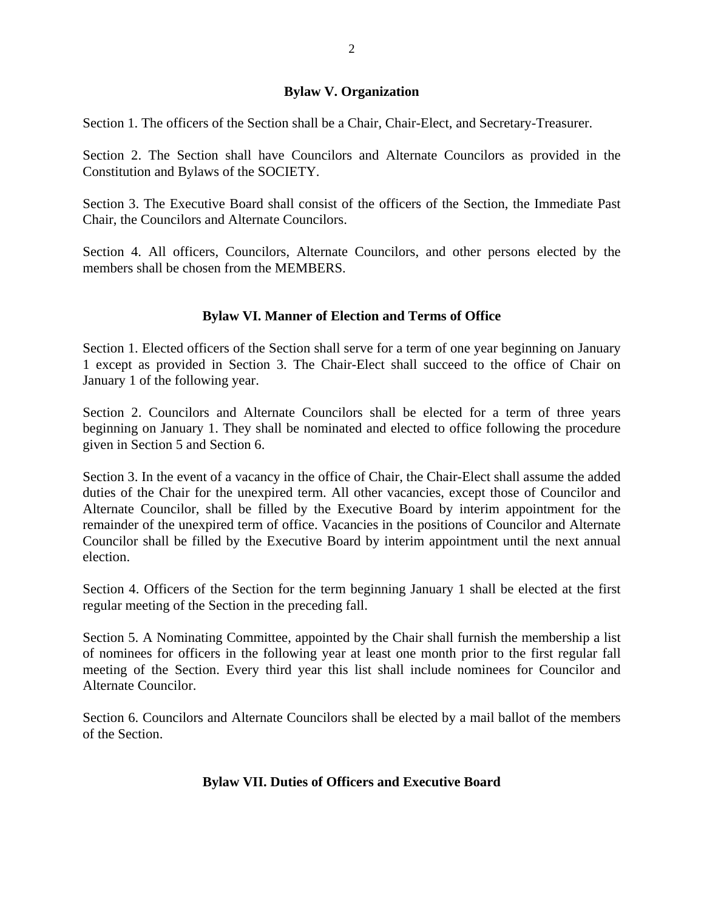## **Bylaw V. Organization**

Section 1. The officers of the Section shall be a Chair, Chair-Elect, and Secretary-Treasurer.

Section 2. The Section shall have Councilors and Alternate Councilors as provided in the Constitution and Bylaws of the SOCIETY.

Section 3. The Executive Board shall consist of the officers of the Section, the Immediate Past Chair, the Councilors and Alternate Councilors.

Section 4. All officers, Councilors, Alternate Councilors, and other persons elected by the members shall be chosen from the MEMBERS.

# **Bylaw VI. Manner of Election and Terms of Office**

Section 1. Elected officers of the Section shall serve for a term of one year beginning on January 1 except as provided in Section 3. The Chair-Elect shall succeed to the office of Chair on January 1 of the following year.

Section 2. Councilors and Alternate Councilors shall be elected for a term of three years beginning on January 1. They shall be nominated and elected to office following the procedure given in Section 5 and Section 6.

Section 3. In the event of a vacancy in the office of Chair, the Chair-Elect shall assume the added duties of the Chair for the unexpired term. All other vacancies, except those of Councilor and Alternate Councilor, shall be filled by the Executive Board by interim appointment for the remainder of the unexpired term of office. Vacancies in the positions of Councilor and Alternate Councilor shall be filled by the Executive Board by interim appointment until the next annual election.

Section 4. Officers of the Section for the term beginning January 1 shall be elected at the first regular meeting of the Section in the preceding fall.

Section 5. A Nominating Committee, appointed by the Chair shall furnish the membership a list of nominees for officers in the following year at least one month prior to the first regular fall meeting of the Section. Every third year this list shall include nominees for Councilor and Alternate Councilor.

Section 6. Councilors and Alternate Councilors shall be elected by a mail ballot of the members of the Section.

# **Bylaw VII. Duties of Officers and Executive Board**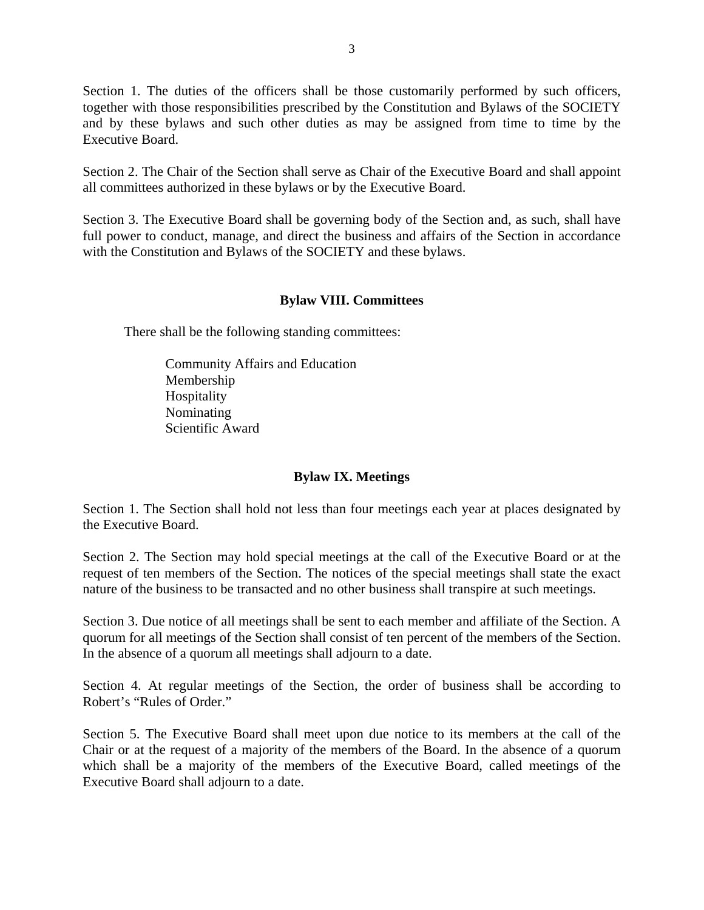Section 1. The duties of the officers shall be those customarily performed by such officers, together with those responsibilities prescribed by the Constitution and Bylaws of the SOCIETY and by these bylaws and such other duties as may be assigned from time to time by the Executive Board.

Section 2. The Chair of the Section shall serve as Chair of the Executive Board and shall appoint all committees authorized in these bylaws or by the Executive Board.

Section 3. The Executive Board shall be governing body of the Section and, as such, shall have full power to conduct, manage, and direct the business and affairs of the Section in accordance with the Constitution and Bylaws of the SOCIETY and these bylaws.

## **Bylaw VIII. Committees**

There shall be the following standing committees:

Community Affairs and Education Membership Hospitality Nominating Scientific Award

## **Bylaw IX. Meetings**

Section 1. The Section shall hold not less than four meetings each year at places designated by the Executive Board.

Section 2. The Section may hold special meetings at the call of the Executive Board or at the request of ten members of the Section. The notices of the special meetings shall state the exact nature of the business to be transacted and no other business shall transpire at such meetings.

Section 3. Due notice of all meetings shall be sent to each member and affiliate of the Section. A quorum for all meetings of the Section shall consist of ten percent of the members of the Section. In the absence of a quorum all meetings shall adjourn to a date.

Section 4. At regular meetings of the Section, the order of business shall be according to Robert's "Rules of Order."

Section 5. The Executive Board shall meet upon due notice to its members at the call of the Chair or at the request of a majority of the members of the Board. In the absence of a quorum which shall be a majority of the members of the Executive Board, called meetings of the Executive Board shall adjourn to a date.